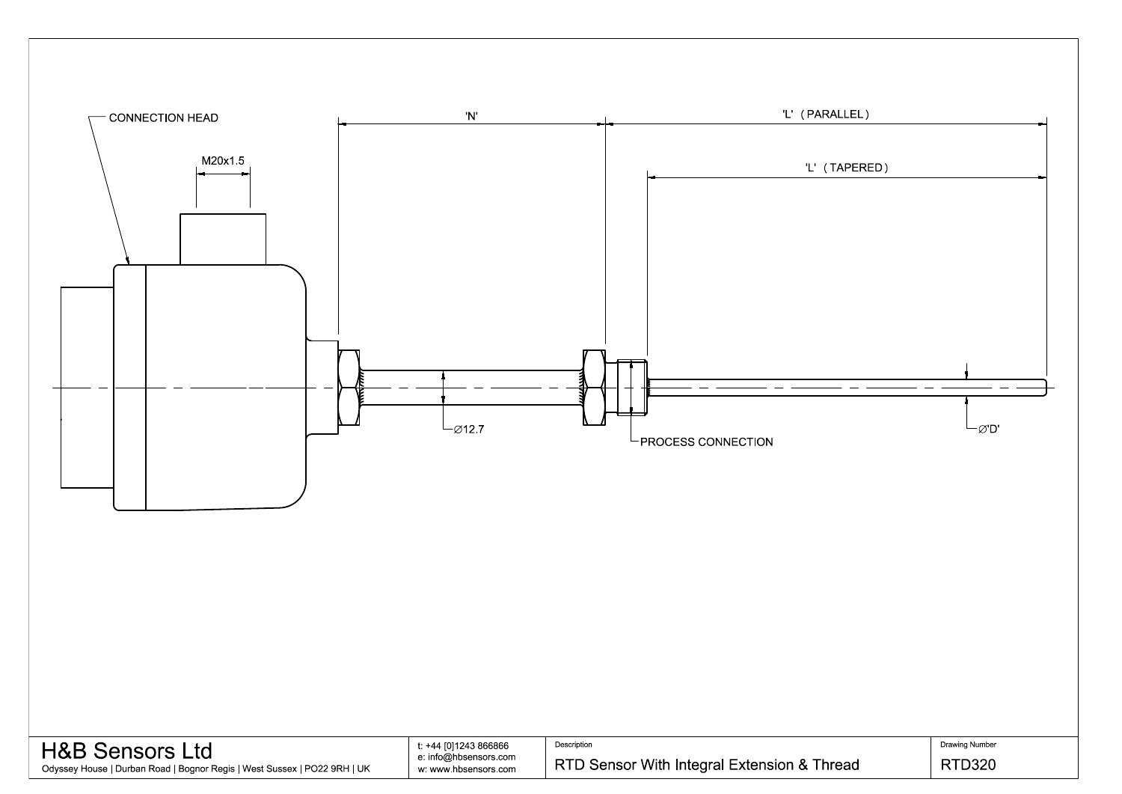

| <b>H&amp;B Sensors Ltd</b>                                               | t: +44 [0]1243 866866 | Description                                |
|--------------------------------------------------------------------------|-----------------------|--------------------------------------------|
|                                                                          | e: info@hbsensors.com |                                            |
| Odyssey House   Durban Road   Bognor Regis   West Sussex   PO22 9RH   UK | w: www.hbsensors.com  | RTD Sensor With Integral Extension & Threa |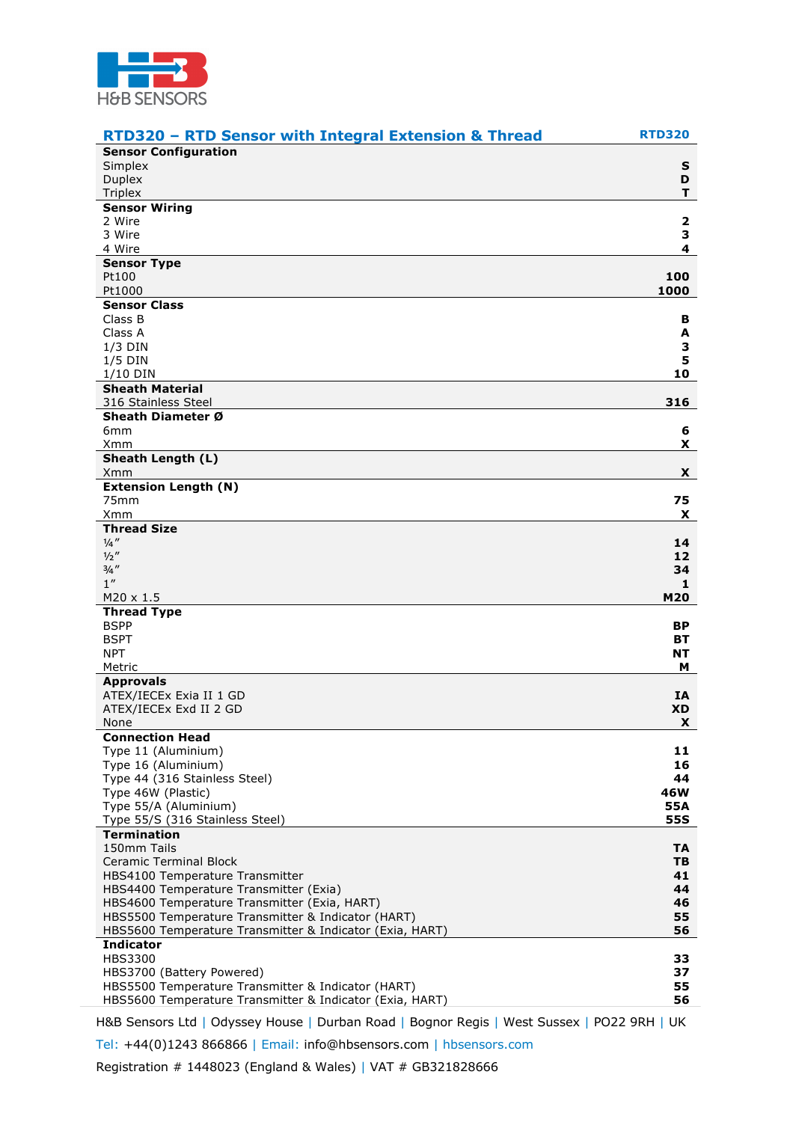

| <b>RTD320 - RTD Sensor with Integral Extension &amp; Thread</b>                                                | <b>RTD320</b> |
|----------------------------------------------------------------------------------------------------------------|---------------|
| <b>Sensor Configuration</b>                                                                                    |               |
| Simplex                                                                                                        | S             |
| <b>Duplex</b><br><b>Triplex</b>                                                                                | D<br>Τ.       |
| <b>Sensor Wiring</b>                                                                                           |               |
| 2 Wire                                                                                                         | 2             |
| 3 Wire                                                                                                         | 3             |
| 4 Wire                                                                                                         | 4             |
| <b>Sensor Type</b>                                                                                             |               |
| Pt100                                                                                                          | 100           |
| Pt1000<br><b>Sensor Class</b>                                                                                  | 1000          |
| Class B                                                                                                        | в             |
| Class A                                                                                                        | A             |
| $1/3$ DIN                                                                                                      | З             |
| $1/5$ DIN                                                                                                      | 5             |
| $1/10$ DIN                                                                                                     | 10            |
| <b>Sheath Material</b>                                                                                         |               |
| 316 Stainless Steel<br>Sheath Diameter Ø                                                                       | 316           |
| 6mm                                                                                                            | 6             |
| Xmm                                                                                                            | x.            |
| Sheath Length (L)                                                                                              |               |
| Xmm                                                                                                            | X.            |
| <b>Extension Length (N)</b>                                                                                    |               |
| 75 <sub>mm</sub>                                                                                               | 75            |
| Xmm<br><b>Thread Size</b>                                                                                      | X.            |
| $\frac{1}{4}$ "                                                                                                | 14            |
| 1/2''                                                                                                          | 12            |
| $3/4$ "                                                                                                        | 34            |
| 1 <sup>''</sup>                                                                                                | 1             |
| $M20 \times 1.5$                                                                                               | M20           |
| <b>Thread Type</b>                                                                                             |               |
| <b>BSPP</b><br><b>BSPT</b>                                                                                     | ВP<br>BТ      |
| <b>NPT</b>                                                                                                     | NΤ            |
| Metric                                                                                                         | м             |
| <b>Approvals</b>                                                                                               |               |
| ATEX/IECEx Exia II 1 GD                                                                                        | IA            |
| ATEX/IECEx Exd II 2 GD                                                                                         | <b>XD</b>     |
| None                                                                                                           | X             |
| <b>Connection Head</b>                                                                                         | 11            |
| Type 11 (Aluminium)<br>Type 16 (Aluminium)                                                                     | 16            |
| Type 44 (316 Stainless Steel)                                                                                  | 44            |
| Type 46W (Plastic)                                                                                             | 46W           |
| Type 55/A (Aluminium)                                                                                          | 55A           |
| Type 55/S (316 Stainless Steel)                                                                                | <b>55S</b>    |
| <b>Termination</b>                                                                                             |               |
| 150mm Tails                                                                                                    | TA            |
| <b>Ceramic Terminal Block</b><br>HBS4100 Temperature Transmitter                                               | TB<br>41      |
| HBS4400 Temperature Transmitter (Exia)                                                                         | 44            |
| HBS4600 Temperature Transmitter (Exia, HART)                                                                   | 46            |
| HBS5500 Temperature Transmitter & Indicator (HART)                                                             | 55            |
| HBS5600 Temperature Transmitter & Indicator (Exia, HART)                                                       | 56            |
| <b>Indicator</b>                                                                                               |               |
| HBS3300                                                                                                        | 33            |
| HBS3700 (Battery Powered)                                                                                      | 37<br>55      |
| HBS5500 Temperature Transmitter & Indicator (HART)<br>HBS5600 Temperature Transmitter & Indicator (Exia, HART) | 56            |
| H&B Sensors Ltd   Odyssey House   Durban Road   Bognor Regis   West Sussex   PO22 9RH   UK                     |               |

Tel: +44(0)1243 866866 | Email: info@hbsensors.com | hbsensors.com

Registration # 1448023 (England & Wales) | VAT # GB321828666